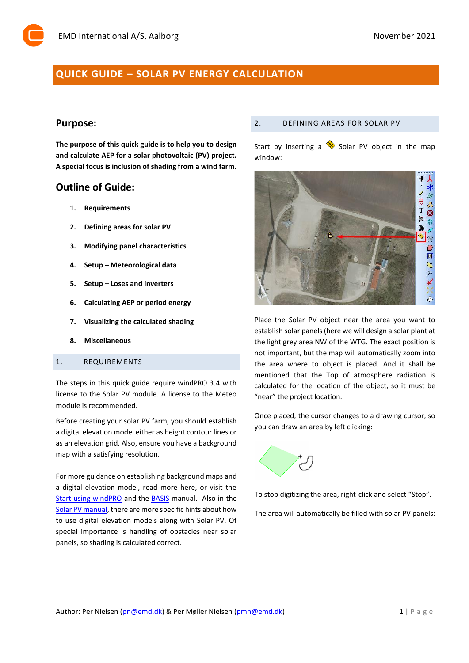# **QUICK GUIDE – SOLAR PV ENERGY CALCULATION**

# **Purpose:**

**The purpose of this quick guide is to help you to design and calculate AEP for a solar photovoltaic (PV) project. A special focus is inclusion of shading from a wind farm.**

# **Outline of Guide:**

- **1. Requirements**
- **2. Defining areas for solar PV**
- **3. Modifying panel characteristics**
- **4. Setup – Meteorological data**
- **5. Setup – Loses and inverters**
- **6. Calculating AEP or period energy**
- **7. Visualizing the calculated shading**
- **8. Miscellaneous**

#### 1. REQUIREMENTS

The steps in this quick guide require windPRO 3.4 with license to the Solar PV module. A license to the Meteo module is recommended.

Before creating your solar PV farm, you should establish a digital elevation model either as height contour lines or as an elevation grid. Also, ensure you have a background map with a satisfying resolution.

For more guidance on establishing background maps and a digital elevation model, read more here, or visit the [Start using windPRO](http://help.emd.dk/knowledgebase/content/Guides/Quick_Guide_windPRO_3.2_START.pdf) and the **BASIS** manual. Also in the [Solar PV manual,](http://help.emd.dk/knowledgebase/content/windPRO3.4/c14-UK_windPRO3.4-SOLAR_PV.pdf) there are more specific hints about how to use digital elevation models along with Solar PV. Of special importance is handling of obstacles near solar panels, so shading is calculated correct.

#### 2. DEFINING AREAS FOR SOLAR PV

Start by inserting a  $\otimes$  Solar PV object in the map window:



Place the Solar PV object near the area you want to establish solar panels (here we will design a solar plant at the light grey area NW of the WTG. The exact position is not important, but the map will automatically zoom into the area where to object is placed. And it shall be mentioned that the Top of atmosphere radiation is calculated for the location of the object, so it must be "near" the project location.

Once placed, the cursor changes to a drawing cursor, so you can draw an area by left clicking:



To stop digitizing the area, right-click and select "Stop".

The area will automatically be filled with solar PV panels: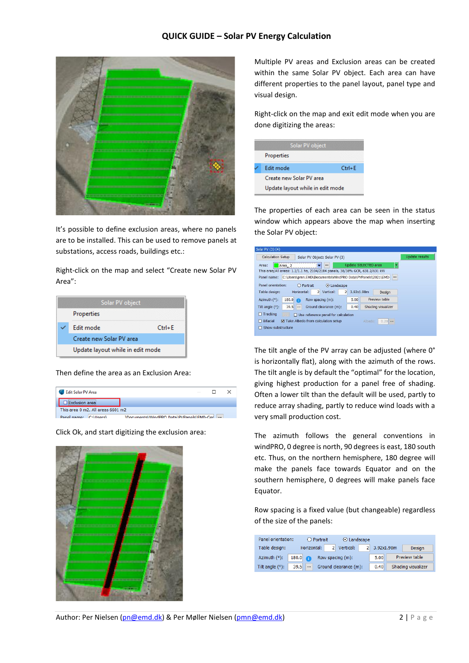

It's possible to define exclusion areas, where no panels are to be installed. This can be used to remove panels at substations, access roads, buildings etc.:

Right-click on the map and select "Create new Solar PV Area":



Then define the area as an Exclusion Area:

| <b>Edit Solar PV Area</b>         |                                         |  |
|-----------------------------------|-----------------------------------------|--|
| <b>Exclusion area</b>             |                                         |  |
| This area 0 m2. All areas 6601 m2 |                                         |  |
| $C(1)$ learel<br>Panel name:      | Documents\WindPRO Data\PVPanels\EMD-Cer |  |

Click Ok, and start digitizing the exclusion area:



Multiple PV areas and Exclusion areas can be created within the same Solar PV object. Each area can have different properties to the panel layout, panel type and visual design.

Right-click on the map and exit edit mode when you are done digitizing the areas:

| Solar PV object                  |            |
|----------------------------------|------------|
| Properties                       |            |
| <b>Edit mode</b>                 | $Ctrl + F$ |
| Create new Solar PV area         |            |
| Update layout while in edit mode |            |

The properties of each area can be seen in the status window which appears above the map when inserting the Solar PV object:

| Solar PV (3) (4)                                                              |                                        |
|-------------------------------------------------------------------------------|----------------------------------------|
| <b>Calculation Setup</b><br>Solar PV Object: Solar PV (3)                     | <b>Update results</b>                  |
| Area:<br>Area 2<br>                                                           | Update SELECTED area<br>ь              |
| This area/All areas: 1.1/1.1 ha, 2104/2104 panels, 38/38% GCR, 631.2/631 kW   |                                        |
| C:\Users\pmn.EMD\Documents\WindPRO_Data\PVPanels\2021\EMD-<br>Panel name:     |                                        |
| Panel orientation:<br>C Landscape<br>O Portrait                               |                                        |
| Horizontal:<br>Table design:<br>2 Vertical:                                   | $\overline{2}$<br>3.92x1.98m<br>Design |
| 180.0<br>Row spacing (m):<br>Azimuth (°):<br>œ                                | Preview table<br>5.00                  |
| 39.5<br>Ground clearance (m):<br>Tilt angle $(°)$ :<br>                       | 0.40<br>Shading visualizer             |
| $\Box$ Tracking<br>$\Box$ Use reference panel for calculation<br>$\mathbf{r}$ |                                        |
| $\Box$ Bifacial<br>Take Albedo from calculation setup                         | $0.20$<br>Albedo:                      |
| Show substructure                                                             |                                        |
|                                                                               |                                        |

The tilt angle of the PV array can be adjusted (where 0° is horizontally flat), along with the azimuth of the rows. The tilt angle is by default the "optimal" for the location, giving highest production for a panel free of shading. Often a lower tilt than the default will be used, partly to reduce array shading, partly to reduce wind loads with a very small production cost.

The azimuth follows the general conventions in windPRO, 0 degree is north, 90 degrees is east, 180 south etc. Thus, on the northern hemisphere, 180 degree will make the panels face towards Equator and on the southern hemisphere, 0 degrees will make panels face Equator.

Row spacing is a fixed value (but changeable) regardless of the size of the panels:

| Panel orientation:<br>O Portrait |                  |                       | $\odot$ Landscape |            |                    |
|----------------------------------|------------------|-----------------------|-------------------|------------|--------------------|
| Table design:                    | Horizontal:      | 2 Vertical:           | $2^{\circ}$       | 3.92x1.98m | <b>Design</b>      |
| Azimuth (°):                     | 180.0<br>A       | Row spacing (m):      |                   | 5.00       | Preview table      |
| Tilt angle $(°)$ :               | 39.5<br>$\cdots$ | Ground clearance (m): |                   | 0.40       | Shading visualizer |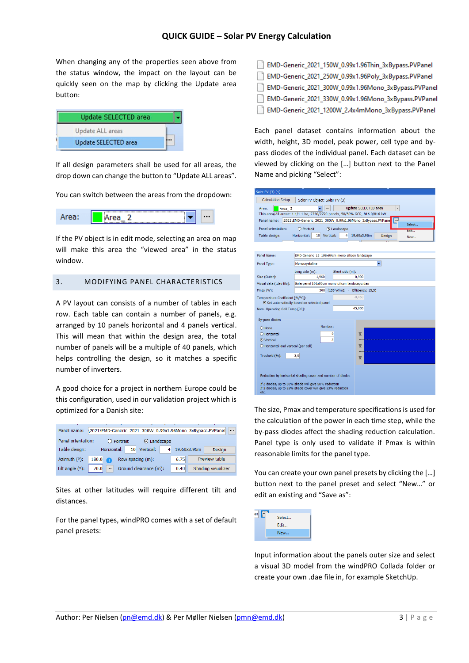When changing any of the properties seen above from the status window, the impact on the layout can be quickly seen on the map by clicking the Update area button:

| Update SELECTED area |  |
|----------------------|--|
| Update ALL areas     |  |
| Update SELECTED area |  |

If all design parameters shall be used for all areas, the drop down can change the button to "Update ALL areas".

You can switch between the areas from the dropdown:



If the PV object is in edit mode, selecting an area on map will make this area the "viewed area" in the status window.

# 3. MODIFYING PANEL CHARACTERISTICS

A PV layout can consists of a number of tables in each row. Each table can contain a number of panels, e.g. arranged by 10 panels horizontal and 4 panels vertical. This will mean that within the design area, the total number of panels will be a multiple of 40 panels, which helps controlling the design, so it matches a specific number of inverters.

A good choice for a project in northern Europe could be this configuration, used in our validation project which is optimized for a Danish site:

| Panel name:                                                   | \2021\EMD-Generic_2021_300W_0.99x1.96Mono_3xBypass.PVPanel<br>$\cdots$ |  |                  |      |             |                    |               |
|---------------------------------------------------------------|------------------------------------------------------------------------|--|------------------|------|-------------|--------------------|---------------|
| Panel orientation:<br>$O$ Portrait<br>⊙ Landscape             |                                                                        |  |                  |      |             |                    |               |
| Horizontal:<br>Table design:                                  |                                                                        |  | 10 Vertical:     | 4    | 19.60x3.96m |                    | Design        |
| Azimuth (°):                                                  | 180.0<br>A                                                             |  | Row spacing (m): |      | 6.75        |                    | Preview table |
| Tilt angle $(°)$ :<br>20.0<br>Ground clearance (m):<br>$\sim$ |                                                                        |  |                  | 0.40 |             | Shading visualizer |               |

Sites at other latitudes will require different tilt and distances.

For the panel types, windPRO comes with a set of default panel presets:

| EMD-Generic_2021_150W_0.99x1.96Thin_3xBypass.PVPanel |
|------------------------------------------------------|
| EMD-Generic_2021_250W_0.99x1.96Poly_3xBypass.PVPanel |
| EMD-Generic_2021_300W_0.99x1.96Mono_3xBypass.PVPanel |
| EMD-Generic_2021_330W_0.99x1.96Mono_3xBypass.PVPanel |
| EMD-Generic_2021_1200W_2.4x4mMono_3xBypass.PVPanel   |

Each panel dataset contains information about the width, height, 3D model, peak power, cell type and bypass diodes of the individual panel. Each dataset can be viewed by clicking on the […] button next to the Panel Name and picking "Select":

| Solar PV (3) (4)                                               |                                                                                 |  |  |  |  |  |  |  |
|----------------------------------------------------------------|---------------------------------------------------------------------------------|--|--|--|--|--|--|--|
| <b>Calculation Setup</b>                                       | Solar PV Object: Solar PV (3)                                                   |  |  |  |  |  |  |  |
| <b>.</b><br>Update SELECTED area<br>Area:<br>Area <sub>2</sub> |                                                                                 |  |  |  |  |  |  |  |
|                                                                | This area/All areas: 1.1/1.1 ha, 2720/2720 panels, 50/50% GCR, 816.0/816 kW     |  |  |  |  |  |  |  |
|                                                                | Panel name: \2021\EMD-Generic_2021_300W_0.99x1.96Mono_3xBypass.PVPane<br>Select |  |  |  |  |  |  |  |
| Panel orientation:                                             | $\bigcirc$ Portrait<br>⊙ Landscape<br>Edit                                      |  |  |  |  |  |  |  |
| Table design:                                                  | Horizontal:<br>10 Vertical:<br>$\overline{4}$<br>19.60x3.96m<br>Design<br>New   |  |  |  |  |  |  |  |
|                                                                | . r                                                                             |  |  |  |  |  |  |  |
|                                                                |                                                                                 |  |  |  |  |  |  |  |
| Panel Name:                                                    | EMD-Generic 18 196x99cm mono silicon landscape                                  |  |  |  |  |  |  |  |
| Panel Type:                                                    | Monocrystaline                                                                  |  |  |  |  |  |  |  |
|                                                                | Short side (m):<br>Long side (m):                                               |  |  |  |  |  |  |  |
| Size (Outer):                                                  | 1.960<br>0.990                                                                  |  |  |  |  |  |  |  |
| Visual data (.dae file):                                       | Solarpanel 196x99cm mono silicon landscape.dae                                  |  |  |  |  |  |  |  |
| $Pmax(W)$ :                                                    | 300 (155 W/m2 - Efficiency: 15,5)                                               |  |  |  |  |  |  |  |
| Temperature Coefficient [%/°C]:                                | $-0,460$                                                                        |  |  |  |  |  |  |  |
|                                                                | Set automatically based on selected panel                                       |  |  |  |  |  |  |  |
| Nom. Operating Cell Temp.[°C]:                                 | 45,000                                                                          |  |  |  |  |  |  |  |
| By-pass diodes                                                 |                                                                                 |  |  |  |  |  |  |  |
| O None                                                         | Number:                                                                         |  |  |  |  |  |  |  |
| O Horizontal                                                   | 0<br>立                                                                          |  |  |  |  |  |  |  |
| ⊙ Vertical                                                     | 3                                                                               |  |  |  |  |  |  |  |
|                                                                | v<br>O Horizontal and vertical (per cell)                                       |  |  |  |  |  |  |  |
| Treshold (%):<br>3.0                                           |                                                                                 |  |  |  |  |  |  |  |
|                                                                | 立                                                                               |  |  |  |  |  |  |  |
|                                                                |                                                                                 |  |  |  |  |  |  |  |
|                                                                | Reduction by horisontal shading cover and number of diodes                      |  |  |  |  |  |  |  |
|                                                                | If 2 diodes, up to 50% shade will give 50% reduction                            |  |  |  |  |  |  |  |
| etc.                                                           | If 3 diodes, up to 33% shade cover will give 33% reduction                      |  |  |  |  |  |  |  |

The size, Pmax and temperature specifications is used for the calculation of the power in each time step, while the by-pass diodes affect the shading reduction calculation. Panel type is only used to validate if Pmax is within reasonable limits for the panel type.

You can create your own panel presets by clicking the […] button next to the panel preset and select "New…" or edit an existing and "Save as":



Input information about the panels outer size and select a visual 3D model from the windPRO Collada folder or create your own .dae file in, for example SketchUp.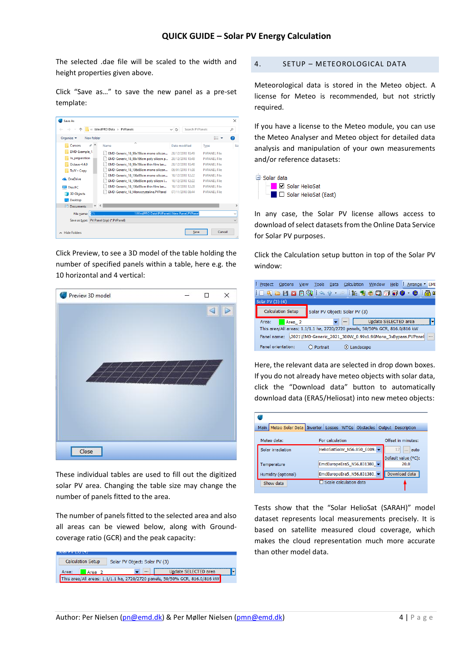The selected .dae file will be scaled to the width and height properties given above.

Click "Save as…" to save the new panel as a pre-set template:

| Save As                                      |                                              |                                       |                     | $\times$      |
|----------------------------------------------|----------------------------------------------|---------------------------------------|---------------------|---------------|
|                                              | « WindPRO Data > PVPanels                    | Search PVP anels<br>Ö<br>$\checkmark$ |                     | ۹             |
| Organise $\blacktriangleright$<br>New folder |                                              |                                       | <b>BEE</b>          | 0             |
| $\rightarrow$ ^<br>Cursors                   | Name                                         | Date modified                         | Type                | Siz           |
| EMD-Example_1                                | EMD-Generic 18 99x196cm mono silicon         | 20/12/2018 10:49                      | <b>PVPANEL File</b> |               |
| In_preparation                               | EMD-Generic 18 99x196cm poly silicon p       | 20/12/2018 10:49                      | <b>PVPANEL File</b> |               |
| Octave-4.4.0                                 | EMD-Generic_18_99x196cm thin film lan        | 20/12/2018 10:48                      | <b>PVPANFL File</b> |               |
| ToJV - Copy                                  | EMD-Generic 18 196x99cm mono silicon         | 09/01/2019 11:38                      | <b>PVPANEL File</b> |               |
|                                              | EMD-Generic 18 196x99cm mono silicon         | 10/12/2018 12:22                      | <b>PVPANEL File</b> |               |
| <b>Ga.</b> OneDrive                          | EMD-Generic 18 196x99cm poly silicon I       | 10/12/2018 12:22                      | <b>PVPANEL File</b> |               |
| <b>This PC</b>                               | EMD-Generic 18 196x99cm thin film lan        | 10/12/2018 12:28                      | <b>PVPANFI File</b> |               |
| <b>3D Objects</b>                            | <b>EMD-Generic 18 Monocrystaline.PVPanel</b> | 07/11/2018 08:44                      | <b>PVPANEL File</b> |               |
| <b>Desktop</b>                               |                                              |                                       |                     |               |
| $\vee$ <<br>圖<br><b>Documents</b>            |                                              |                                       |                     | $\rightarrow$ |
| C:\<br>File name:                            | \WindPRO Data\PVPanels\New Panel.PVPanel     |                                       |                     | $\checkmark$  |
| Save as type:                                | PV Panel (zip) (*.PVPanel)                   |                                       |                     | $\checkmark$  |
| $\land$ Hide Folders                         |                                              | Save                                  | Cancel              |               |

Click Preview, to see a 3D model of the table holding the number of specified panels within a table, here e.g. the 10 horizontal and 4 vertical:



These individual tables are used to fill out the digitized solar PV area. Changing the table size may change the number of panels fitted to the area.

The number of panels fitted to the selected area and also all areas can be viewed below, along with Groundcoverage ratio (GCR) and the peak capacity:

| <b>Calculation Setup</b><br>Solar PV Object: Solar PV (3)                   |          |                      |  |  |  |  |
|-----------------------------------------------------------------------------|----------|----------------------|--|--|--|--|
| Area:<br>Area <sub>2</sub>                                                  | $\cdots$ | Update SELECTED area |  |  |  |  |
| This area/All areas: 1.1/1.1 ha, 2720/2720 panels, 50/50% GCR, 816.0/816 kW |          |                      |  |  |  |  |

4. SETUP – METEOROLOGICAL DATA

Meteorological data is stored in the Meteo object. A license for Meteo is recommended, but not strictly required.

If you have a license to the Meteo module, you can use the Meteo Analyser and Meteo object for detailed data analysis and manipulation of your own measurements and/or reference datasets:



In any case, the Solar PV license allows access to download of select datasets from the Online Data Service for Solar PV purposes.

Click the Calculation setup button in top of the Solar PV window:

| : Project<br><b>Options</b>                                                           | <b>View</b>                                                                 | Tools<br><b>Data</b> | Calculation | Window Help : Arrange FMI |  |  |   |  |
|---------------------------------------------------------------------------------------|-----------------------------------------------------------------------------|----------------------|-------------|---------------------------|--|--|---|--|
| :□{{}BB\$\$\}\\\\~``}} \${\$\$\$\$\$\$\$\$\$\$\$                                      |                                                                             |                      |             |                           |  |  |   |  |
| Solar PV (3) (4)                                                                      |                                                                             |                      |             |                           |  |  |   |  |
| <b>Calculation Setup</b><br>Solar PV Object: Solar PV (3)                             |                                                                             |                      |             |                           |  |  |   |  |
| Area:                                                                                 | Area <sub>2</sub>                                                           |                      | $\cdots$    | Update SELECTED area      |  |  | ы |  |
|                                                                                       | This area/All areas: 1.1/1.1 ha, 2720/2720 panels, 50/50% GCR, 816.0/816 kW |                      |             |                           |  |  |   |  |
| \2021\EMD-Generic_2021_300W_0.99x1.96Mono_3xBypass.PVPanel<br>Panel name:<br>$\cdots$ |                                                                             |                      |             |                           |  |  |   |  |
| Panel orientation:                                                                    |                                                                             | O Portrait           |             |                           |  |  |   |  |

Here, the relevant data are selected in drop down boxes. If you do not already have meteo objects with solar data, click the "Download data" button to automatically download data (ERA5/Heliosat) into new meteo objects:

| Meteo Solar Data   Inverter   Losses   WTGs   Obstacles   Output   Description |                             |
|--------------------------------------------------------------------------------|-----------------------------|
| For calculation                                                                | Offset in minutes:          |
| HelioSatSolar N56.850 E009.                                                    | 12<br>$\ldots$ auto         |
|                                                                                | Default value (°C):<br>20.0 |
| EmdEuropeEra5_N56.831380_                                                      | Download data               |
| Scale calculation data                                                         |                             |
|                                                                                | EmdEuropeEra5_N56.831380    |

Tests show that the "Solar HelioSat (SARAH)" model dataset represents local measurements precisely. It is based on satellite measured cloud coverage, which makes the cloud representation much more accurate than other model data.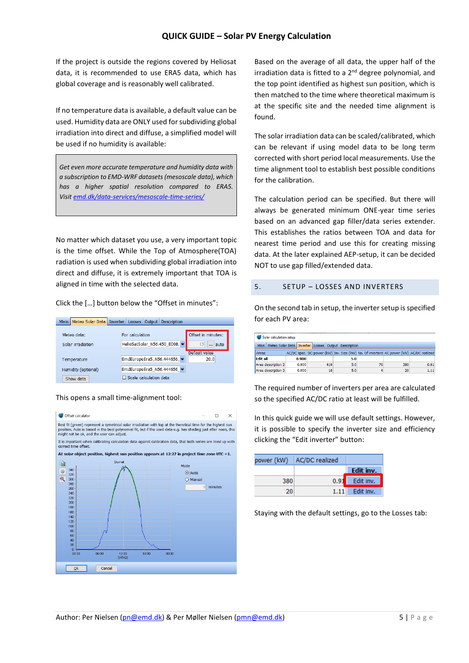If the project is outside the regions covered by Heliosat data, it is recommended to use ERA5 data, which has global coverage and is reasonably well calibrated.

If no temperature data is available, a default value can be used. Humidity data are ONLY used for subdividing global irradiation into direct and diffuse, a simplified model will be used if no humidity is available:

*Get even more accurate temperature and humidity data with a subscription to EMD-WRF datasets (mesoscale data), which has a higher spatial resolution compared to ERA5. Visi[t emd.dk/data-services/mesoscale-time-series/](https://www.emd.dk/data-services/mesoscale-time-series/)*

No matter which dataset you use, a very important topic is the time offset. While the Top of Atmosphere(TOA) radiation is used when subdividing global irradiation into direct and diffuse, it is extremely important that TOA is aligned in time with the selected data.

Click the […] button below the "Offset in minutes":

|                     | Main   Meteo Solar Data   Inverter   Losses   Output   Description |                                  |
|---------------------|--------------------------------------------------------------------|----------------------------------|
| Meteo data:         | For calculation                                                    | Offset in minutes:               |
| Solar irradiation   | HelioSatSolar_N56.450_E008.                                        | 15 <sup>1</sup><br>$\ldots$ auto |
|                     |                                                                    | Default value                    |
| Temperature         | EmdEuropeEra5 N56.444656                                           | 20,0                             |
| Humidity (optional) | EmdEuropeEra5_N56.444656_                                          |                                  |
| Show data           | $\Box$ Scale calculation data                                      |                                  |

#### This opens a small time-alignment tool:



Based on the average of all data, the upper half of the irradiation data is fitted to a 2<sup>nd</sup> degree polynomial, and the top point identified as highest sun position, which is then matched to the time where theoretical maximum is at the specific site and the needed time alignment is found.

The solar irradiation data can be scaled/calibrated, which can be relevant if using model data to be long term corrected with short period local measurements. Use the time alignment tool to establish best possible conditions for the calibration.

The calculation period can be specified. But there will always be generated minimum ONE-year time series based on an advanced gap filler/data series extender. This establishes the ratios between TOA and data for nearest time period and use this for creating missing data. At the later explained AEP-setup, it can be decided NOT to use gap filled/extended data.

#### 5. SETUP – LOSSES AND INVERTERS

On the second tab in setup, the inverter setup is specified for each PV area:

| Solar calculation setup                                          |       |     |     |                                                                                        |     |      |  |
|------------------------------------------------------------------|-------|-----|-----|----------------------------------------------------------------------------------------|-----|------|--|
| Main Meteo Solar Data   Inverter   Losses   Output   Description |       |     |     |                                                                                        |     |      |  |
| <b>Areas</b>                                                     |       |     |     | AC/DC spec. DC-power (kW) Inv. Size (kW) No. Of inverters AC power (kW) AC/DC realized |     |      |  |
| <b>Edit all</b>                                                  | 0.900 |     | 5.0 |                                                                                        |     |      |  |
| Area description 2                                               | 0.900 | 419 | 5.0 | 76                                                                                     | 380 | 0.91 |  |
| Area description 3                                               | 0.900 | 18  | 5.0 | 4                                                                                      | 20  | 1.11 |  |

The required number of inverters per area are calculated so the specified AC/DC ratio at least will be fulfilled.

In this quick guide we will use default settings. However, it is possible to specify the inverter size and efficiency clicking the "Edit inverter" button:

| power (kW) | AC/DC realized |                  |
|------------|----------------|------------------|
|            |                | Edit inv.        |
| 380.       |                | 0.91 Edit inv.   |
| 20         |                | $1.11$ Edit inv. |

Staying with the default settings, go to the Losses tab: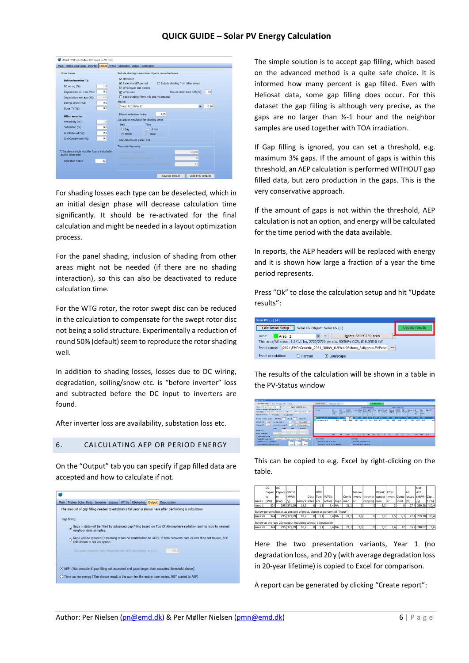| Main Meteo Solar Data Inverter Losses WTGs Obstacles Output Description     |     |                    |                                                       |              |                                         |                            |      |
|-----------------------------------------------------------------------------|-----|--------------------|-------------------------------------------------------|--------------|-----------------------------------------|----------------------------|------|
| Other Incces                                                                |     |                    | Include shading losses from objects on visible layers |              |                                         |                            |      |
| Before inverter *):                                                         |     | <b>V</b> Obstacles |                                                       |              |                                         |                            |      |
| DC wiring (%):                                                              | 1.0 |                    | M Panel and diffuse red.                              |              | $\Box$ Include shading from other areas |                            |      |
|                                                                             |     |                    | M WTG tower and nacelle                               |              |                                         |                            |      |
| Degradation per year (%):                                                   | 0.5 | <b>M</b> WTG mtor  |                                                       |              |                                         | Reduce rotor area with(%): | 50   |
| Degradation average (%):                                                    | 4.9 |                    | Topo shading (from hills and mountains)               |              |                                         |                            |      |
| Soiling, Snow (%):                                                          | 0.0 | Albedo             |                                                       |              |                                         |                            |      |
| Other *) (%):                                                               | 0.0 |                    | Grass: 0.2 (default)                                  |              |                                         |                            | 0.20 |
| After inverter:                                                             |     |                    | <b>Bifacial reduction factor:</b>                     | 0.75         |                                         |                            |      |
| Availability (%):                                                           | 1.0 |                    | Calculation resolution for shading cover              |              |                                         |                            |      |
|                                                                             | 0.0 | Date               | Time                                                  |              |                                         |                            |      |
| Substation (%):                                                             |     | $O$ Day            |                                                       | $O$ 10 min   |                                         |                            |      |
| Grid External (%):                                                          | 0.0 | O Month            |                                                       | $\odot$ Hour |                                         |                            |      |
| Grid Curtailment (%);                                                       | 0.0 |                    | Calculations per panel: 144                           |              |                                         |                            |      |
|                                                                             |     |                    | Topo shading setup                                    |              |                                         |                            |      |
| *) Incidence angle modifier loss is included in<br><b>GROSS</b> calculation |     |                    | Calculation redius (m):                               |              |                                         | 10,000                     |      |
|                                                                             |     |                    |                                                       |              |                                         | 30                         |      |
| <b>Operation Years:</b>                                                     | 20  |                    |                                                       |              |                                         |                            |      |
|                                                                             |     |                    |                                                       |              |                                         | 3.0                        |      |

For shading losses each type can be deselected, which in an initial design phase will decrease calculation time significantly. It should be re-activated for the final calculation and might be needed in a layout optimization process.

For the panel shading, inclusion of shading from other areas might not be needed (if there are no shading interaction), so this can also be deactivated to reduce calculation time.

For the WTG rotor, the rotor swept disc can be reduced in the calculation to compensate for the swept rotor disc not being a solid structure. Experimentally a reduction of round 50% (default) seem to reproduce the rotor shading well.

In addition to shading losses, losses due to DC wiring, degradation, soiling/snow etc. is "before inverter" loss and subtracted before the DC input to inverters are found.

After inverter loss are availability, substation loss etc.

#### 6. CALCULATING AEP OR PERIOD ENERGY

On the "Output" tab you can specify if gap filled data are accepted and how to calculate if not.

| Gap filling            |                               |  |                                                              |                                                                                                                   |
|------------------------|-------------------------------|--|--------------------------------------------------------------|-------------------------------------------------------------------------------------------------------------------|
| neighbor data samples. |                               |  |                                                              | Gaps in data will be filled by advanced gap filling based on Top Of Atmosphere radiation and its ratio to nearest |
|                        |                               |  |                                                              |                                                                                                                   |
|                        | calculation is not an option. |  |                                                              | Gaps will be ignored (assuming it has no contribution to AEP). If data recovery rate is less than set below, AEP  |
|                        |                               |  | Set data recovery rate threshold for AEP calculation to (%): | 99.9                                                                                                              |
|                        |                               |  |                                                              |                                                                                                                   |

The simple solution is to accept gap filling, which based on the advanced method is a quite safe choice. It is informed how many percent is gap filled. Even with Heliosat data, some gap filling does occur. For this dataset the gap filling is although very precise, as the gaps are no larger than ½-1 hour and the neighbor samples are used together with TOA irradiation.

If Gap filling is ignored, you can set a threshold, e.g. maximum 3% gaps. If the amount of gaps is within this threshold, an AEP calculation is performed WITHOUT gap filled data, but zero production in the gaps. This is the very conservative approach.

If the amount of gaps is not within the threshold, AEP calculation is not an option, and energy will be calculated for the time period with the data available.

In reports, the AEP headers will be replaced with energy and it is shown how large a fraction of a year the time period represents.

Press "Ok" to close the calculation setup and hit "Update results":

| Solar PV (3) (4)                                                             |                |
|------------------------------------------------------------------------------|----------------|
| <b>Calculation Setup</b><br>Solar PV Object: Solar PV (3)                    | Update results |
| Update SELECTED area<br>Area:<br>Area 2<br>$\cdots$                          |                |
| This area/All areas: 1.1/1.1 ha, 2720/2720 panels, 50/50% GCR, 816.0/816 kW  |                |
| 2021\EMD-Generic_2021_300W_0.99x1.96Mono_3xBypass.PVPanel<br><br>Panel name: |                |
| Panel orientation:<br><b>O</b> Landscape<br>O Portrait                       |                |

The results of the calculation will be shown in a table in the PV-Status window



This can be copied to e.g. Excel by right-clicking on the table.



Here the two presentation variants, Year 1 (no degradation loss, and 20 y (with average degradation loss in 20-year lifetime) is copied to Excel for comparison.

A report can be generated by clicking "Create report":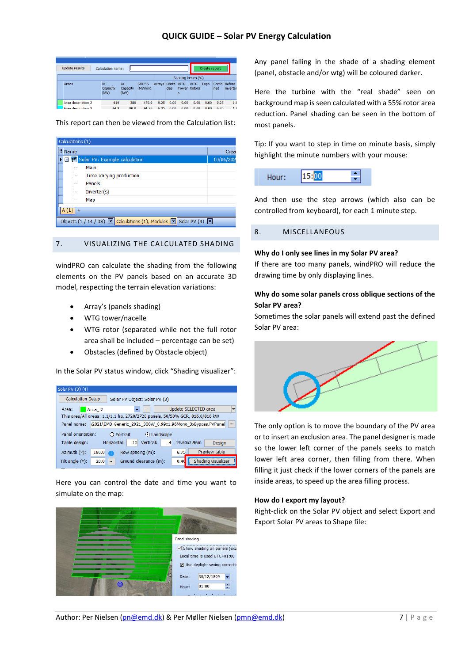| <b>Update results</b> | Calculation name:       |                         |                         |                  |      |                          |            | Create report |                     |          |                |
|-----------------------|-------------------------|-------------------------|-------------------------|------------------|------|--------------------------|------------|---------------|---------------------|----------|----------------|
|                       |                         |                         |                         |                  |      | Shading losses (%)       |            |               |                     |          |                |
| Areas                 | DC.<br>Capacity<br>(kW) | AC.<br>Capacity<br>(kW) | <b>GROSS</b><br>(MWh/y) | Arrays Obsta WTG | cles | <b>Tower Rotors</b><br>s | <b>WTG</b> | <b>Topo</b>   | Combi Before<br>ned | inverter |                |
| Area description 2    | 419                     | 380                     | 470.9                   | 9.25             | 0.00 | 0.00                     | 0.00       | 0.00          | 9.25                |          | 1.8            |
| Area deceription 2    | 84.3                    | 800                     | 04.75                   | 6.25             | n nn | n nn                     | 0.00       | 0.00          | 6.35                |          | 1 <sub>s</sub> |

This report can then be viewed from the Calculation list:

|   | Calculations (1) |                                                                                                                 |           |
|---|------------------|-----------------------------------------------------------------------------------------------------------------|-----------|
| 圍 | Name             |                                                                                                                 | Crea      |
|   |                  | EFW Solar PV: Example calculation                                                                               | 10/06/202 |
|   | .                | Main                                                                                                            |           |
|   | .                | Time Varying production                                                                                         |           |
|   | 5                | Panels                                                                                                          |           |
|   | 11111            | Inverter(s)                                                                                                     |           |
|   | 5.111            | Map                                                                                                             |           |
|   |                  |                                                                                                                 |           |
|   |                  | Objects (1 / 14 / 38) $\boxed{\times}$ Calculations (1), Modules $\boxed{\times}$ Solar PV (4) $\boxed{\times}$ |           |

#### 7. VISUALIZING THE CALCULATED SHADING

windPRO can calculate the shading from the following elements on the PV panels based on an accurate 3D model, respecting the terrain elevation variations:

- Array's (panels shading)
- WTG tower/nacelle
- WTG rotor (separated while not the full rotor area shall be included – percentage can be set)
- Obstacles (defined by Obstacle object)

In the Solar PV status window, click "Shading visualizer":

| Solar PV (3) (4)         |                                                                             |          |
|--------------------------|-----------------------------------------------------------------------------|----------|
| <b>Calculation Setup</b> | Solar PV Object: Solar PV (3)                                               |          |
| Area:                    | Update SELECTED area<br>Area <sub>2</sub><br>$\cdots$                       | ۰        |
|                          | This area/All areas: 1.1/1.1 ha, 2720/2720 panels, 50/50% GCR, 816.0/816 kW |          |
| Panel name:              | \2021\EMD-Generic 2021 300W 0.99x1.96Mono 3xBypass.PVPanel                  | $\cdots$ |
| Panel orientation:       | O Portrait<br>$\odot$ Landscape                                             |          |
| Table design:            | 10 <sup>1</sup><br>Horizontal:<br>Vertical:<br>4<br>19.60x3.96m<br>Design   |          |
| Azimuth (°):             | Preview table<br>6.75<br>180.0<br>Row spacing (m):                          |          |
| Tilt angle $(°)$ :       | Shading visualizer<br>Ground clearance (m):<br>20.0<br>0.40<br>$\cdots$     |          |

Here you can control the date and time you want to simulate on the map:



Any panel falling in the shade of a shading element (panel, obstacle and/or wtg) will be coloured darker.

Here the turbine with the "real shade" seen on background map is seen calculated with a 55% rotor area reduction. Panel shading can be seen in the bottom of most panels.

Tip: If you want to step in time on minute basis, simply highlight the minute numbers with your mouse:



And then use the step arrows (which also can be controlled from keyboard), for each 1 minute step.

#### 8. MISCELLANEOUS

#### **Why do I only see lines in my Solar PV area?**

If there are too many panels, windPRO will reduce the drawing time by only displaying lines.

#### **Why do some solar panels cross oblique sections of the Solar PV area?**

Sometimes the solar panels will extend past the defined Solar PV area:



The only option is to move the boundary of the PV area or to insert an exclusion area. The panel designer is made so the lower left corner of the panels seeks to match lower left area corner, then filling from there. When filling it just check if the lower corners of the panels are inside areas, to speed up the area filling process.

#### **How do I export my layout?**

Right-click on the Solar PV object and select Export and Export Solar PV areas to Shape file: